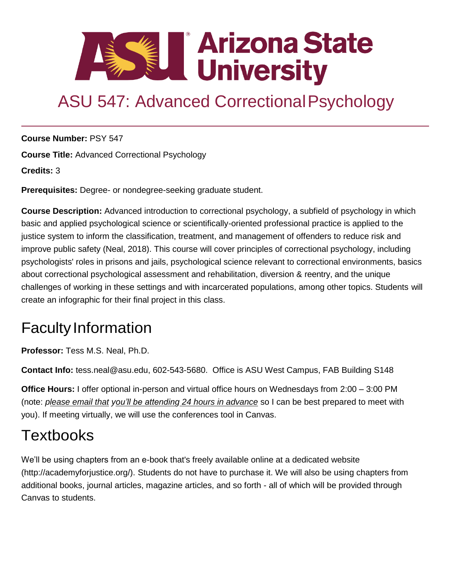

# ASU 547: Advanced Correctional Psychology

**Course Number:** PSY 547

**Course Title:** Advanced Correctional Psychology

**Credits:** 3

**Prerequisites:** Degree- or nondegree-seeking graduate student.

**Course Description:** Advanced introduction to correctional psychology, a subfield of psychology in which basic and applied psychological science or scientifically-oriented professional practice is applied to the justice system to inform the classification, treatment, and management of offenders to reduce risk and improve public safety (Neal, 2018). This course will cover principles of correctional psychology, including psychologists' roles in prisons and jails, psychological science relevant to correctional environments, basics about correctional psychological assessment and rehabilitation, diversion & reentry, and the unique challenges of working in these settings and with incarcerated populations, among other topics. Students will create an infographic for their final project in this class.

### **Faculty Information**

**Professor:** Tess M.S. Neal, Ph.D.

**Contact Info:** [tess.neal@asu.edu,](mailto:tess.neal@asu.edu) 602-543-5680. Office is ASU West Campus, FAB Building S148

**Office Hours:** I offer optional in-person and virtual office hours on Wednesdays from 2:00 – 3:00 PM (note: *please email that you'll be attending 24 hours in advance* so I can be best prepared to meet with you). If meeting virtually, we will use the conferences tool in Canvas.

### **Textbooks**

We'll be using chapters from an e-book that's freely available online at a dedicated website [\(http://academyforjustice.org/\).](http://academyforjustice.org/)) Students do not have to purchase it. We will also be using chapters from additional books, journal articles, magazine articles, and so forth - all of which will be provided through Canvas to students.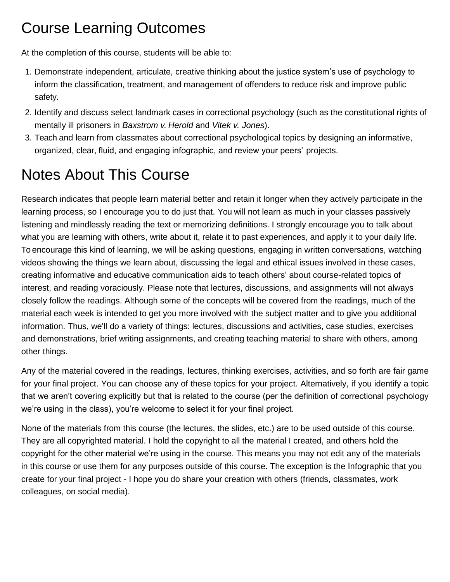### Course Learning Outcomes

At the completion of this course, students will be able to:

- 1. Demonstrate independent, articulate, creative thinking about the justice system's use of psychology to inform the classification, treatment, and management of offenders to reduce risk and improve public safety.
- 2. Identify and discuss select landmark cases in correctional psychology (such as the constitutional rights of mentally ill prisoners in *Baxstrom v. Herold* and *Vitek v. Jones*).
- 3. Teach and learn from classmates about correctional psychological topics by designing an informative, organized, clear, fluid, and engaging infographic, and review your peers' projects.

## Notes About This Course

Research indicates that people learn material better and retain it longer when they actively participate in the learning process, so I encourage you to do just that. You will not learn as much in your classes passively listening and mindlessly reading the text or memorizing definitions. I strongly encourage you to talk about what you are learning with others, write about it, relate it to past experiences, and apply it to your daily life. To encourage this kind of learning, we will be asking questions, engaging in written conversations, watching videos showing the things we learn about, discussing the legal and ethical issues involved in these cases, creating informative and educative communication aids to teach others' about course-related topics of interest, and reading voraciously. Please note that lectures, discussions, and assignments will not always closely follow the readings. Although some of the concepts will be covered from the readings, much of the material each week is intended to get you more involved with the subject matter and to give you additional information. Thus, we'll do a variety of things: lectures, discussions and activities, case studies, exercises and demonstrations, brief writing assignments, and creating teaching material to share with others, among other things.

Any of the material covered in the readings, lectures, thinking exercises, activities, and so forth are fair game for your final project. You can choose any of these topics for your project. Alternatively, if you identify a topic that we aren't covering explicitly but that is related to the course (per the definition of correctional psychology we're using in the class), you're welcome to select it for your final project.

None of the materials from this course (the lectures, the slides, etc.) are to be used outside of this course. They are all copyrighted material. I hold the copyright to all the material I created, and others hold the copyright for the other material we're using in the course. This means you may not edit any of the materials in this course or use them for any purposes outside of this course. The exception is the Infographic that you create for your final project - I hope you do share your creation with others (friends, classmates, work colleagues, on social media).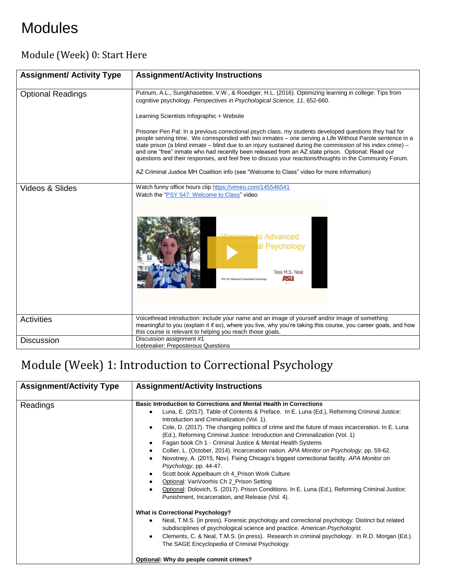## Modules

#### Module (Week) 0: Start Here

| <b>Assignment/ Activity Type</b> | <b>Assignment/Activity Instructions</b>                                                                                                                                                                                                                                                                                                                                                                                                                                                                                                                                                                                                                                                                                                                                            |
|----------------------------------|------------------------------------------------------------------------------------------------------------------------------------------------------------------------------------------------------------------------------------------------------------------------------------------------------------------------------------------------------------------------------------------------------------------------------------------------------------------------------------------------------------------------------------------------------------------------------------------------------------------------------------------------------------------------------------------------------------------------------------------------------------------------------------|
| <b>Optional Readings</b>         | Putnum, A.L., Sungkhasettee, V.W., & Roediger, H.L. (2016). Optimizing learning in college: Tips from<br>cognitive psychology. Perspectives in Psychological Science, 11, 652-660.<br>Learning Scientists Infographic + Website<br>Prisoner Pen Pal: In a previous correctional psych class, my students developed questions they had for<br>people serving time. We corresponded with two inmates – one serving a Life Without Parole sentence in a<br>state prison (a blind inmate – blind due to an injury sustained during the commission of his index crime) –<br>and one "free" inmate who had recently been released from an AZ state prison. Optional: Read our<br>questions and their responses, and feel free to discuss your reactions/thoughts in the Community Forum. |
|                                  | AZ Criminal Justice MH Coalition info (see "Welcome to Class" video for more information)                                                                                                                                                                                                                                                                                                                                                                                                                                                                                                                                                                                                                                                                                          |
| Videos & Slides                  | Watch funny office hours clip https://vimeo.com/145546541<br>Watch the "PSY 547: Welcome to Class" video<br>to Advanced<br>al Psychology<br>Tess M.S. Neal<br><b>ASU</b><br>PSY 547 Advanced Correctional Psychology                                                                                                                                                                                                                                                                                                                                                                                                                                                                                                                                                               |
| Activities                       | Voicethread introduction: include your name and an image of yourself and/or image of something<br>meaningful to you (explain it if so), where you live, why you're taking this course, you career goals, and how<br>this course is relevant to helping you reach those goals.                                                                                                                                                                                                                                                                                                                                                                                                                                                                                                      |
| <b>Discussion</b>                | Discussion assignment #1<br>Icebreaker: Preposterous Questions                                                                                                                                                                                                                                                                                                                                                                                                                                                                                                                                                                                                                                                                                                                     |

### Module (Week) 1: Introduction to Correctional Psychology

| <b>Assignment/Activity Type</b> | <b>Assignment/Activity Instructions</b>                                                                                                                                                                                                                                                                                                                                                                                                                                                                                                                                                                                                                                                                                                                                                                                                                                                                                                                                                                                                                                                                                                                                                                                                                                                                                 |
|---------------------------------|-------------------------------------------------------------------------------------------------------------------------------------------------------------------------------------------------------------------------------------------------------------------------------------------------------------------------------------------------------------------------------------------------------------------------------------------------------------------------------------------------------------------------------------------------------------------------------------------------------------------------------------------------------------------------------------------------------------------------------------------------------------------------------------------------------------------------------------------------------------------------------------------------------------------------------------------------------------------------------------------------------------------------------------------------------------------------------------------------------------------------------------------------------------------------------------------------------------------------------------------------------------------------------------------------------------------------|
| Readings                        | Basic Introduction to Corrections and Mental Health in Corrections<br>Luna, E. (2017). Table of Contents & Preface. In E. Luna (Ed.), Reforming Criminal Justice:<br>Introduction and Criminalization (Vol. 1).<br>Cole, D. (2017). The changing politics of crime and the future of mass incarceration. In E. Luna<br>(Ed.), Reforming Criminal Justice: Introduction and Criminalization (Vol. 1)<br>Fagan book Ch 1 - Criminal Justice & Mental Health Systems<br>Collier, L. (October, 2014). Incarceration nation. APA Monitor on Psychology, pp. 59-62.<br>Novotney, A. (2015, Nov). Fixing Chicago's biggest correctional facility. APA Monitor on<br>Psychology, pp. 44-47.<br>Scott book Appelbaum ch 4_Prison Work Culture<br>Optional: VanVoorhis Ch 2_Prison Setting<br>Optional: Dolovich, S. (2017). Prison Conditions. In E. Luna (Ed.), Reforming Criminal Justice:<br>Punishment, Incarceration, and Release (Vol. 4).<br><b>What is Correctional Psychology?</b><br>Neal, T.M.S. (in press). Forensic psychology and correctional psychology: Distinct but related<br>subdisciplines of psychological science and practice. American Psychologist.<br>Clements, C. & Neal, T.M.S. (in press). Research in criminal psychology. In R.D. Morgan (Ed.).<br>The SAGE Encyclopedia of Criminal Psychology. |
|                                 | Optional: Why do people commit crimes?                                                                                                                                                                                                                                                                                                                                                                                                                                                                                                                                                                                                                                                                                                                                                                                                                                                                                                                                                                                                                                                                                                                                                                                                                                                                                  |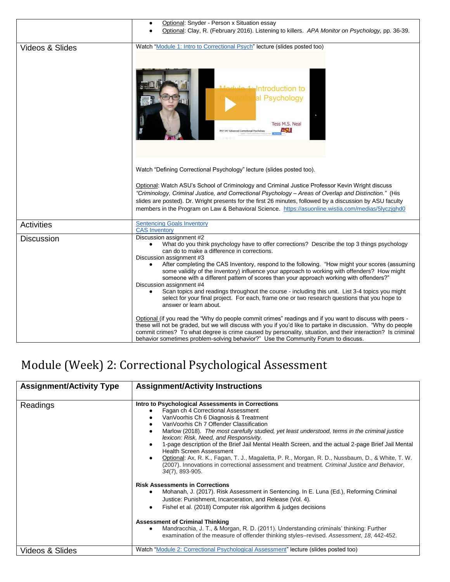|                   | Optional: Snyder - Person x Situation essay                                                                                                                                                                                                                                                                                                                                                                                                                                                                                                                                                                                                                                                                                                               |
|-------------------|-----------------------------------------------------------------------------------------------------------------------------------------------------------------------------------------------------------------------------------------------------------------------------------------------------------------------------------------------------------------------------------------------------------------------------------------------------------------------------------------------------------------------------------------------------------------------------------------------------------------------------------------------------------------------------------------------------------------------------------------------------------|
|                   | Optional: Clay, R. (February 2016). Listening to killers. APA Monitor on Psychology, pp. 36-39.                                                                                                                                                                                                                                                                                                                                                                                                                                                                                                                                                                                                                                                           |
| Videos & Slides   | Watch "Module 1: Intro to Correctional Psych" lecture (slides posted too)<br>ntroduction to<br>al Psychology<br>Tess M.S. Neal<br>ASI<br>PSY 547 Advanced Correctional Psychology                                                                                                                                                                                                                                                                                                                                                                                                                                                                                                                                                                         |
|                   | Watch "Defining Correctional Psychology" lecture (slides posted too).<br>Optional: Watch ASU's School of Criminology and Criminal Justice Professor Kevin Wright discuss<br>"Criminology, Criminal Justice, and Correctional Psychology - Areas of Overlap and Distinction." (His<br>slides are posted). Dr. Wright presents for the first 26 minutes, followed by a discussion by ASU faculty<br>members in the Program on Law & Behavioral Science. https://asuonline.wistia.com/medias/5lyczjghd0                                                                                                                                                                                                                                                      |
| <b>Activities</b> | <b>Sentencing Goals Inventory</b><br><b>CAS Inventory</b>                                                                                                                                                                                                                                                                                                                                                                                                                                                                                                                                                                                                                                                                                                 |
| <b>Discussion</b> | Discussion assignment #2<br>What do you think psychology have to offer corrections? Describe the top 3 things psychology<br>can do to make a difference in corrections.<br>Discussion assignment #3<br>After completing the CAS Inventory, respond to the following. "How might your scores (assuming<br>some validity of the inventory) influence your approach to working with offenders? How might<br>someone with a different pattern of scores than your approach working with offenders?"<br>Discussion assignment #4<br>Scan topics and readings throughout the course - including this unit. List 3-4 topics you might<br>select for your final project. For each, frame one or two research questions that you hope to<br>answer or learn about. |
|                   | Optional (if you read the "Why do people commit crimes" readings and if you want to discuss with peers -<br>these will not be graded, but we will discuss with you if you'd like to partake in discussion. "Why do people<br>commit crimes? To what degree is crime caused by personality, situation, and their interaction? Is criminal<br>behavior sometimes problem-solving behavior?" Use the Community Forum to discuss.                                                                                                                                                                                                                                                                                                                             |

## Module (Week) 2: Correctional Psychological Assessment

| <b>Assignment/Activity Type</b> | <b>Assignment/Activity Instructions</b>                                                                                                                                                                                                                                                                                                                                                                                                                                                                                                                                                                                                                                                                                                                                                                                                                                                                                                                                                                                                                                                                                                                                                       |
|---------------------------------|-----------------------------------------------------------------------------------------------------------------------------------------------------------------------------------------------------------------------------------------------------------------------------------------------------------------------------------------------------------------------------------------------------------------------------------------------------------------------------------------------------------------------------------------------------------------------------------------------------------------------------------------------------------------------------------------------------------------------------------------------------------------------------------------------------------------------------------------------------------------------------------------------------------------------------------------------------------------------------------------------------------------------------------------------------------------------------------------------------------------------------------------------------------------------------------------------|
| Readings                        | Intro to Psychological Assessments in Corrections<br>Fagan ch 4 Correctional Assessment<br>VanVoorhis Ch 6 Diagnosis & Treatment<br>Van Voorhis Ch 7 Offender Classification<br>Marlow (2018). The most carefully studied, yet least understood, terms in the criminal justice<br>lexicon: Risk, Need, and Responsivity.<br>1-page description of the Brief Jail Mental Health Screen, and the actual 2-page Brief Jail Mental<br><b>Health Screen Assessment</b><br>Optional: Ax, R. K., Fagan, T. J., Magaletta, P. R., Morgan, R. D., Nussbaum, D., & White, T. W.<br>(2007). Innovations in correctional assessment and treatment. Criminal Justice and Behavior,<br>34(7), 893-905.<br><b>Risk Assessments in Corrections</b><br>Mohanah, J. (2017). Risk Assessment in Sentencing. In E. Luna (Ed.), Reforming Criminal<br>Justice: Punishment, Incarceration, and Release (Vol. 4).<br>Fishel et al. (2018) Computer risk algorithm & judges decisions<br><b>Assessment of Criminal Thinking</b><br>Mandracchia, J. T., & Morgan, R. D. (2011). Understanding criminals' thinking: Further<br>examination of the measure of offender thinking styles-revised. Assessment, 18, 442-452. |
| Videos & Slides                 | Watch "Module 2: Correctional Psychological Assessment" lecture (slides posted too)                                                                                                                                                                                                                                                                                                                                                                                                                                                                                                                                                                                                                                                                                                                                                                                                                                                                                                                                                                                                                                                                                                           |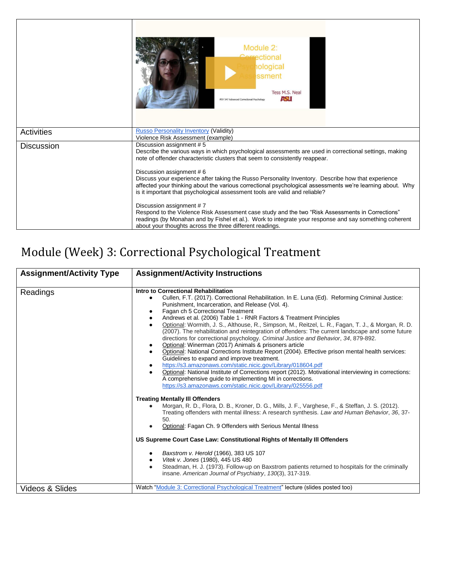|                   | Module 2:<br>ectional<br><b>nological</b><br>ssment<br>Tess M.S. Neal<br>AST.<br>PSY 547 Advanced Correctional Psychology                                                                                                                                                                                                                                                                                                                                                                                                                                                                                                                                                                                                                                                                                                                              |
|-------------------|--------------------------------------------------------------------------------------------------------------------------------------------------------------------------------------------------------------------------------------------------------------------------------------------------------------------------------------------------------------------------------------------------------------------------------------------------------------------------------------------------------------------------------------------------------------------------------------------------------------------------------------------------------------------------------------------------------------------------------------------------------------------------------------------------------------------------------------------------------|
| Activities        | <b>Russo Personality Inventory (Validity)</b><br>Violence Risk Assessment (example)                                                                                                                                                                                                                                                                                                                                                                                                                                                                                                                                                                                                                                                                                                                                                                    |
| <b>Discussion</b> | Discussion assignment #5<br>Describe the various ways in which psychological assessments are used in correctional settings, making<br>note of offender characteristic clusters that seem to consistently reappear.<br>Discussion assignment #6<br>Discuss your experience after taking the Russo Personality Inventory. Describe how that experience<br>affected your thinking about the various correctional psychological assessments we're learning about. Why<br>is it important that psychological assessment tools are valid and reliable?<br>Discussion assignment #7<br>Respond to the Violence Risk Assessment case study and the two "Risk Assessments in Corrections"<br>readings (by Monahan and by Fishel et al.). Work to integrate your response and say something coherent<br>about your thoughts across the three different readings. |

### Module (Week) 3: Correctional Psychological Treatment

| <b>Assignment/Activity Type</b> | <b>Assignment/Activity Instructions</b>                                                                                                                                                                                                                                                                                                                                                                                                                                                                                                                                                                                                                                                                                                                                                                                                                                                                                                                                                                                                                                                                                                                                                                                                                                                                                                                                                                                                                                                                                                                                                                                                                                                                                                                                          |
|---------------------------------|----------------------------------------------------------------------------------------------------------------------------------------------------------------------------------------------------------------------------------------------------------------------------------------------------------------------------------------------------------------------------------------------------------------------------------------------------------------------------------------------------------------------------------------------------------------------------------------------------------------------------------------------------------------------------------------------------------------------------------------------------------------------------------------------------------------------------------------------------------------------------------------------------------------------------------------------------------------------------------------------------------------------------------------------------------------------------------------------------------------------------------------------------------------------------------------------------------------------------------------------------------------------------------------------------------------------------------------------------------------------------------------------------------------------------------------------------------------------------------------------------------------------------------------------------------------------------------------------------------------------------------------------------------------------------------------------------------------------------------------------------------------------------------|
| Readings                        | Intro to Correctional Rehabilitation<br>Cullen, F.T. (2017). Correctional Rehabilitation. In E. Luna (Ed). Reforming Criminal Justice:<br>٠<br>Punishment, Incarceration, and Release (Vol. 4).<br>Fagan ch 5 Correctional Treatment<br>Andrews et al. (2006) Table 1 - RNR Factors & Treatment Principles<br>Optional: Wormith, J. S., Althouse, R., Simpson, M., Reitzel, L. R., Fagan, T. J., & Morgan, R. D.<br>(2007). The rehabilitation and reintegration of offenders: The current landscape and some future<br>directions for correctional psychology. Criminal Justice and Behavior, 34, 879-892.<br>Optional: Winerman (2017) Animals & prisoners article<br>Optional: National Corrections Institute Report (2004). Effective prison mental health services:<br>Guidelines to expand and improve treatment.<br>https://s3.amazonaws.com/static.nicic.gov/Library/018604.pdf<br>Optional: National Institute of Corrections report (2012). Motivational interviewing in corrections:<br>A comprehensive guide to implementing MI in corrections.<br>https://s3.amazonaws.com/static.nicic.gov/Library/025556.pdf<br><b>Treating Mentally III Offenders</b><br>Morgan, R. D., Flora, D. B., Kroner, D. G., Mills, J. F., Varghese, F., & Steffan, J. S. (2012).<br>Treating offenders with mental illness: A research synthesis. Law and Human Behavior, 36, 37-<br>50.<br>Optional: Fagan Ch. 9 Offenders with Serious Mental Illness<br>US Supreme Court Case Law: Constitutional Rights of Mentally III Offenders<br>Baxstrom v. Herold (1966), 383 US 107<br>Vitek v. Jones (1980), 445 US 480<br>٠<br>Steadman, H. J. (1973). Follow-up on Baxstrom patients returned to hospitals for the criminally<br>insane. American Journal of Psychiatry, 130(3), 317-319. |
| Videos & Slides                 | Watch "Module 3: Correctional Psychological Treatment" lecture (slides posted too)                                                                                                                                                                                                                                                                                                                                                                                                                                                                                                                                                                                                                                                                                                                                                                                                                                                                                                                                                                                                                                                                                                                                                                                                                                                                                                                                                                                                                                                                                                                                                                                                                                                                                               |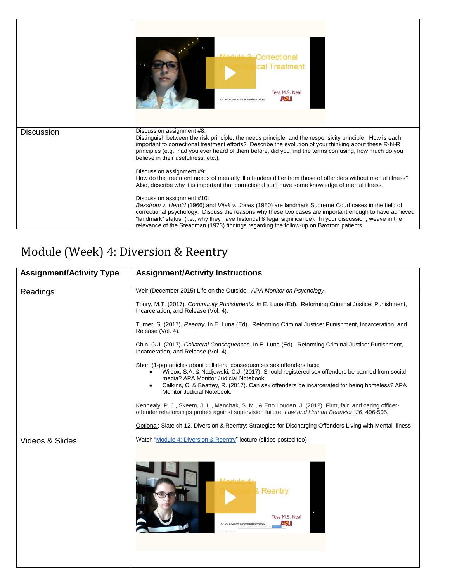|                   | Medule 2: Correctional<br>cal Treatment<br>Tess M.S. Neal<br>ASH<br>PSY 547 Advanced Correctional Psychology                                                                                                                                                                                                                                                                                                                                        |
|-------------------|-----------------------------------------------------------------------------------------------------------------------------------------------------------------------------------------------------------------------------------------------------------------------------------------------------------------------------------------------------------------------------------------------------------------------------------------------------|
| <b>Discussion</b> | Discussion assignment #8:<br>Distinguish between the risk principle, the needs principle, and the responsivity principle. How is each<br>important to correctional treatment efforts? Describe the evolution of your thinking about these R-N-R<br>principles (e.g., had you ever heard of them before, did you find the terms confusing, how much do you<br>believe in their usefulness, etc.).                                                    |
|                   | Discussion assignment #9:<br>How do the treatment needs of mentally ill offenders differ from those of offenders without mental illness?<br>Also, describe why it is important that correctional staff have some knowledge of mental illness.                                                                                                                                                                                                       |
|                   | Discussion assignment #10:<br>Baxstrom v. Herold (1966) and Vitek v. Jones (1980) are landmark Supreme Court cases in the field of<br>correctional psychology. Discuss the reasons why these two cases are important enough to have achieved<br>"landmark" status (i.e., why they have historical & legal significance). In your discussion, weave in the<br>relevance of the Steadman (1973) findings regarding the follow-up on Baxtrom patients. |

### Module (Week) 4: Diversion & Reentry

| Weir (December 2015) Life on the Outside. APA Monitor on Psychology.                                                                                                                                                                                                                                                                          |
|-----------------------------------------------------------------------------------------------------------------------------------------------------------------------------------------------------------------------------------------------------------------------------------------------------------------------------------------------|
|                                                                                                                                                                                                                                                                                                                                               |
| Tonry, M.T. (2017). Community Punishments. In E. Luna (Ed). Reforming Criminal Justice: Punishment,<br>Incarceration, and Release (Vol. 4).                                                                                                                                                                                                   |
| Turner, S. (2017). Reentry. In E. Luna (Ed). Reforming Criminal Justice: Punishment, Incarceration, and<br>Release (Vol. 4).                                                                                                                                                                                                                  |
| Chin, G.J. (2017). Collateral Consequences. In E. Luna (Ed). Reforming Criminal Justice: Punishment,<br>Incarceration, and Release (Vol. 4).                                                                                                                                                                                                  |
| Short (1-pg) articles about collateral consequences sex offenders face:<br>Wilcox, S.A. & Nadjowski, C.J. (2017). Should registered sex offenders be banned from social<br>media? APA Monitor Judicial Notebook.<br>Calkins, C. & Beattey, R. (2017). Can sex offenders be incarcerated for being homeless? APA<br>Monitor Judicial Notebook. |
| Kennealy, P. J., Skeem, J. L., Manchak, S. M., & Eno Louden, J. (2012). Firm, fair, and caring officer-<br>offender relationships protect against supervision failure. Law and Human Behavior, 36, 496-505.                                                                                                                                   |
| Optional: Slate ch 12. Diversion & Reentry: Strategies for Discharging Offenders Living with Mental Illness                                                                                                                                                                                                                                   |
| Watch "Module 4: Diversion & Reentry" lecture (slides posted too)<br>$M$ odulo<br>Reentrv<br>Tess M.S. Neal<br>451<br>PSY 547 Advanced Correctional Psychology                                                                                                                                                                                |
|                                                                                                                                                                                                                                                                                                                                               |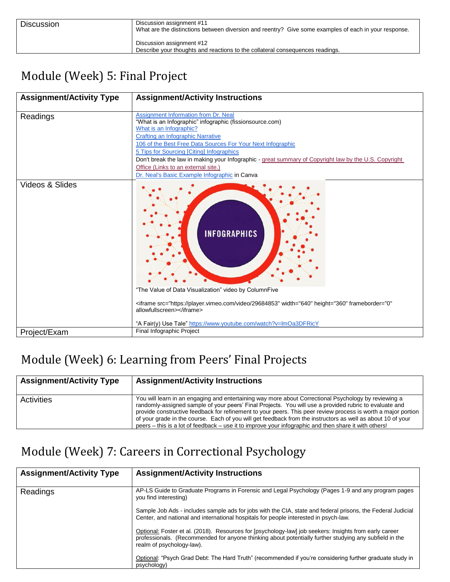| <b>Discussion</b> | Discussion assignment #11<br>What are the distinctions between diversion and reentry? Give some examples of each in your response. |
|-------------------|------------------------------------------------------------------------------------------------------------------------------------|
|                   | Discussion assignment #12<br>Describe your thoughts and reactions to the collateral consequences readings.                         |

### Module (Week) 5: Final Project

| <b>Assignment/Activity Type</b> | <b>Assignment/Activity Instructions</b>                                                                                                                                                                                                                                                                                                                                                                                                                                              |
|---------------------------------|--------------------------------------------------------------------------------------------------------------------------------------------------------------------------------------------------------------------------------------------------------------------------------------------------------------------------------------------------------------------------------------------------------------------------------------------------------------------------------------|
| Readings                        | Assignment Information from Dr. Neal<br>"What is an Infographic" infographic (fissionsource.com)<br>What is an Infographic?<br><b>Crafting an Infographic Narrative</b><br>106 of the Best Free Data Sources For Your Next Infographic<br>5 Tips for Sourcing [Citing] Infographics<br>Don't break the law in making your Infographic - great summary of Copyright law by the U.S. Copyright<br>Office (Links to an external site.)<br>Dr. Neal's Basic Example Infographic in Canva |
| Videos & Slides                 | <b>INFOGRAPHICS</b><br>"The Value of Data Visualization" video by ColumnFive<br><iframe <br="" frameborder="0" height="360" src="https://player.vimeo.com/video/29684853" width="640">allowfullscreen&gt;</iframe><br>"A Fair(y) Use Tale" https://www.youtube.com/watch?v=ImOa3DFRicY                                                                                                                                                                                               |
| Project/Exam                    | Final Infographic Project                                                                                                                                                                                                                                                                                                                                                                                                                                                            |

### Module (Week) 6: Learning from Peers' Final Projects

| <b>Assignment/Activity Type</b> | <b>Assignment/Activity Instructions</b>                                                                                                                                                                                                                                                                                                                                                                                                                                                                                                                 |
|---------------------------------|---------------------------------------------------------------------------------------------------------------------------------------------------------------------------------------------------------------------------------------------------------------------------------------------------------------------------------------------------------------------------------------------------------------------------------------------------------------------------------------------------------------------------------------------------------|
| <b>Activities</b>               | You will learn in an engaging and entertaining way more about Correctional Psychology by reviewing a<br>randomly-assigned sample of your peers' Final Projects. You will use a provided rubric to evaluate and<br>provide constructive feedback for refinement to your peers. This peer review process is worth a major portion<br>of your grade in the course. Each of you will get feedback from the instructors as well as about 10 of your<br>peers – this is a lot of feedback – use it to improve your infographic and then share it with others! |

#### Module (Week) 7: Careers in Correctional Psychology

| <b>Assignment/Activity Type</b> | <b>Assignment/Activity Instructions</b>                                                                                                                                                                                                       |
|---------------------------------|-----------------------------------------------------------------------------------------------------------------------------------------------------------------------------------------------------------------------------------------------|
| Readings                        | AP-LS Guide to Graduate Programs in Forensic and Legal Psychology (Pages 1-9 and any program pages<br>you find interesting)                                                                                                                   |
|                                 | Sample Job Ads - includes sample ads for jobs with the CIA, state and federal prisons, the Federal Judicial<br>Center, and national and international hospitals for people interested in psych-law.                                           |
|                                 | Optional: Foster et al. (2018). Resources for [psychology-law] job seekers: Insights from early career<br>professionals. (Recommended for anyone thinking about potentially further studying any subfield in the<br>realm of psychology-law). |
|                                 | Optional: "Psych Grad Debt: The Hard Truth" (recommended if you're considering further graduate study in<br>psychology)                                                                                                                       |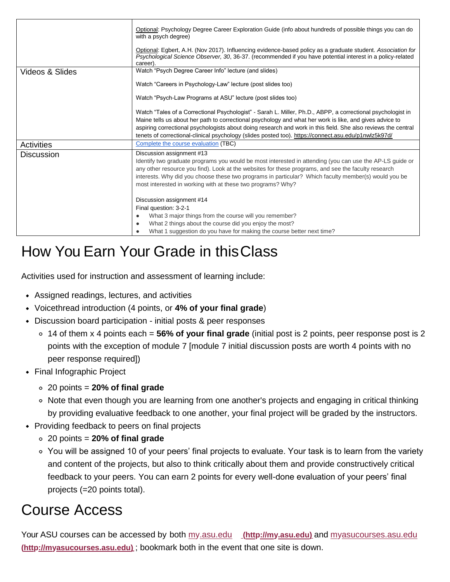|                   | Optional: Psychology Degree Career Exploration Guide (info about hundreds of possible things you can do<br>with a psych degree)                                                                                                                                                                                                                                                                                                                 |  |
|-------------------|-------------------------------------------------------------------------------------------------------------------------------------------------------------------------------------------------------------------------------------------------------------------------------------------------------------------------------------------------------------------------------------------------------------------------------------------------|--|
|                   | Optional: Egbert, A.H. (Nov 2017). Influencing evidence-based policy as a graduate student. Association for<br>Psychological Science Observer, 30, 36-37. (recommended if you have potential interest in a policy-related<br>career).                                                                                                                                                                                                           |  |
| Videos & Slides   | Watch "Psych Degree Career Info" lecture (and slides)                                                                                                                                                                                                                                                                                                                                                                                           |  |
|                   | Watch "Careers in Psychology-Law" lecture (post slides too)                                                                                                                                                                                                                                                                                                                                                                                     |  |
|                   | Watch "Psych-Law Programs at ASU" lecture (post slides too)                                                                                                                                                                                                                                                                                                                                                                                     |  |
|                   | Watch "Tales of a Correctional Psychologist" - Sarah L. Miller, Ph.D., ABPP, a correctional psychologist in<br>Maine tells us about her path to correctional psychology and what her work is like, and gives advice to<br>aspiring correctional psychologists about doing research and work in this field. She also reviews the central<br>tenets of correctional-clinical psychology (slides posted too). https://connect.asu.edu/p1nwlz5k97d/ |  |
| <b>Activities</b> | Complete the course evaluation (TBC)                                                                                                                                                                                                                                                                                                                                                                                                            |  |
| <b>Discussion</b> | Discussion assignment #13<br>Identify two graduate programs you would be most interested in attending (you can use the AP-LS guide or<br>any other resource you find). Look at the websites for these programs, and see the faculty research<br>interests. Why did you choose these two programs in particular? Which faculty member(s) would you be<br>most interested in working with at these two programs? Why?                             |  |
|                   | Discussion assignment #14<br>Final question: 3-2-1<br>What 3 major things from the course will you remember?<br>٠<br>What 2 things about the course did you enjoy the most?<br>٠<br>What 1 suggestion do you have for making the course better next time?                                                                                                                                                                                       |  |

### How You Earn Your Grade in thisClass

Activities used for instruction and assessment of learning include:

- Assigned readings, lectures, and activities
- Voicethread introduction (4 points, or **4% of your final grade**)
- Discussion board participation initial posts & peer responses
	- 14 of them x 4 points each = **56% of your final grade** (initial post is 2 points, peer response post is 2 points with the exception of module 7 [module 7 initial discussion posts are worth 4 points with no peer response required])
- Final Infographic Project
	- 20 points = **20% of final grade**
	- Note that even though you are learning from one another's projects and engaging in critical thinking by providing evaluative feedback to one another, your final project will be graded by the instructors.
- Providing feedback to peers on final projects
	- 20 points = **20% of final grade**
	- You will be assigned 10 of your peers' final projects to evaluate. Your task is to learn from the variety and content of the projects, but also to think critically about them and provide constructively critical feedback to your peers. You can earn 2 points for every well-done evaluation of your peers' final projects (=20 points total).

### Course Access

[Your ASU courses can be accessed by](http://myasucourses.asu.edu/) both my.asu.edu **(http://my.asu.edu)** and myasucourses.asu.edu **(http://myasucourses.asu.edu)** [; bookmark both in the event that one site is down.](http://myasucourses.asu.edu/)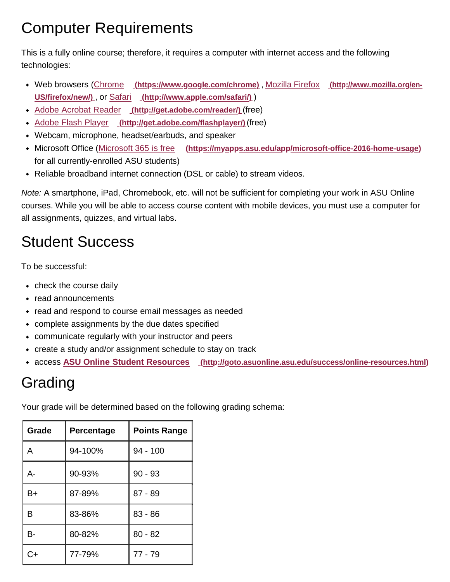### Computer Requirements

This is a fully online course; therefore, it requires a computer with internet access and the following technologies:

- Web browsers (Chrome **[\(https://www.google.com/chrome\)](http://www.mozilla.org/en-US/firefox/new/)** , Mozilla Firefox **(http://www.mozilla.org/en-[US/firefox/new/\)](http://www.mozilla.org/en-US/firefox/new/)** , or Safari **[\(http://www.apple.com/safari/\)](http://www.apple.com/safari/)** [\)](http://www.mozilla.org/en-US/firefox/new/)
- Adobe Acrobat Reader **[\(http://get.adobe.com/reader/\)](http://get.adobe.com/reader/)** (free)
- Adobe Flash Player **[\(http://get.adobe.com/flashplayer/\)](http://get.adobe.com/flashplayer/)** (free)
- Webcam, microphone, headset/earbuds, and speaker
- Microsoft Office (Microsoft 365 is free [\(https://myapps.asu.edu/app/microsoft-office-2016-home-usage\)](https://myapps.asu.edu/app/microsoft-office-2016-home-usage) for all currently-enrolled ASU students)
- Reliable broadband internet connection (DSL or cable) to stream videos.

*Note:* A smartphone, iPad, Chromebook, etc. will not be sufficient for completing your work in ASU Online courses. While you will be able to access course content with mobile devices, you must use a computer for all assignments, quizzes, and virtual labs.

## Student Success

To be successful:

- check the course daily
- read announcements
- read and respond to course email messages as needed
- complete assignments by the due dates specified
- communicate regularly with your instructor and peers
- create a study and/or assignment schedule to stay on track
- access **ASU Online Student Resources [\(http://goto.asuonline.asu.edu/success/online-resources.html\)](http://goto.asuonline.asu.edu/success/online-resources.html)**

### Grading

Your grade will be determined based on the following grading schema:

| Grade   | Percentage | <b>Points Range</b> |
|---------|------------|---------------------|
| A       | 94-100%    | $94 - 100$          |
| А-      | 90-93%     | $90 - 93$           |
| B+      | 87-89%     | $87 - 89$           |
| в       | 83-86%     | $83 - 86$           |
| в-      | 80-82%     | $80 - 82$           |
| $\cdot$ | 77-79%     | $77 - 79$           |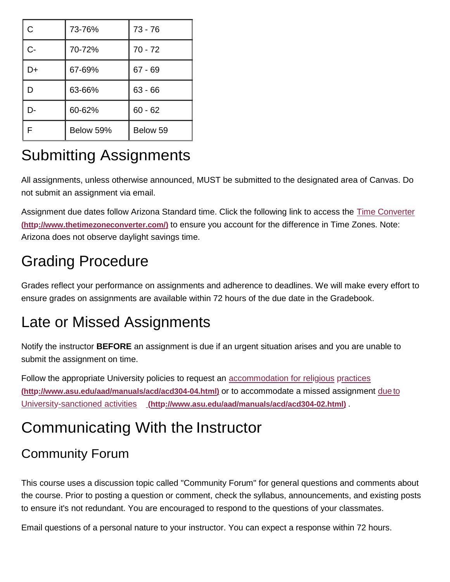| C  | 73-76%    | $73 - 76$ |
|----|-----------|-----------|
| C- | 70-72%    | $70 - 72$ |
| D+ | 67-69%    | $67 - 69$ |
| D  | 63-66%    | $63 - 66$ |
| Ŋ- | 60-62%    | $60 - 62$ |
| F  | Below 59% | Below 59  |

## Submitting Assignments

All assignments, unless otherwise announced, MUST be submitted to the designated area of Canvas. Do not submit an assignment via email.

[Assignment due dates follow Arizona Standard time. Click the following link to access the Time Converter](http://www.thetimezoneconverter.com/) **(http://www.thetimezoneconverter.com/)** [to ensure you account for the difference in Time Zones. Note:](http://www.thetimezoneconverter.com/) Arizona does not observe daylight savings time.

### Grading Procedure

Grades reflect your performance on assignments and adherence to deadlines. We will make every effort to ensure grades on assignments are available within 72 hours of the due date in the Gradebook.

### Late or Missed Assignments

Notify the instructor **BEFORE** an assignment is due if an urgent situation arises and you are unable to submit the assignment on time.

[Follow the appropriate University policies to request an accommodation for religious](http://www.asu.edu/aad/manuals/acd/acd304-04.html) practices **[\(http://www.asu.edu/aad/manuals/acd/acd304-04.html\)](http://www.asu.edu/aad/manuals/acd/acd304-02.html)** or to accommodate a missed assignment due to University-sanctioned activities **[\(http://www.asu.edu/aad/manuals/acd/acd304-02.html\)](http://www.asu.edu/aad/manuals/acd/acd304-02.html)** .

## Communicating With the Instructor

#### Community Forum

This course uses a discussion topic called "Community Forum" for general questions and comments about the course. Prior to posting a question or comment, check the syllabus, announcements, and existing posts to ensure it's not redundant. You are encouraged to respond to the questions of your classmates.

Email questions of a personal nature to your instructor. You can expect a response within 72 hours.